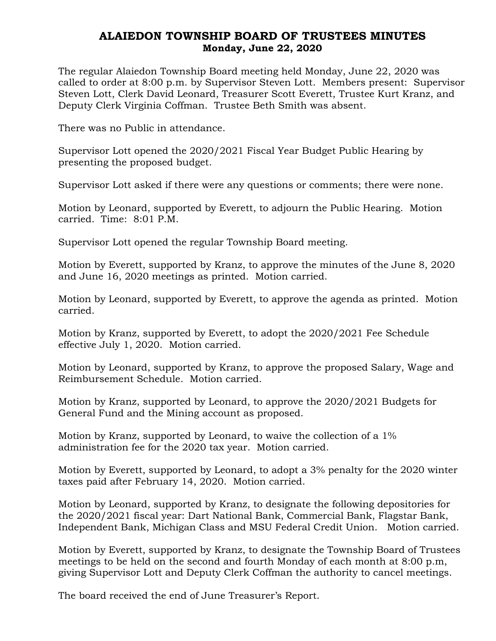## ALAIEDON TOWNSHIP BOARD OF TRUSTEES MINUTES Monday, June 22, 2020

The regular Alaiedon Township Board meeting held Monday, June 22, 2020 was called to order at 8:00 p.m. by Supervisor Steven Lott. Members present: Supervisor Steven Lott, Clerk David Leonard, Treasurer Scott Everett, Trustee Kurt Kranz, and Deputy Clerk Virginia Coffman. Trustee Beth Smith was absent.

There was no Public in attendance.

Supervisor Lott opened the 2020/2021 Fiscal Year Budget Public Hearing by presenting the proposed budget.

Supervisor Lott asked if there were any questions or comments; there were none.

Motion by Leonard, supported by Everett, to adjourn the Public Hearing. Motion carried. Time: 8:01 P.M.

Supervisor Lott opened the regular Township Board meeting.

Motion by Everett, supported by Kranz, to approve the minutes of the June 8, 2020 and June 16, 2020 meetings as printed. Motion carried.

Motion by Leonard, supported by Everett, to approve the agenda as printed. Motion carried.

Motion by Kranz, supported by Everett, to adopt the 2020/2021 Fee Schedule effective July 1, 2020. Motion carried.

Motion by Leonard, supported by Kranz, to approve the proposed Salary, Wage and Reimbursement Schedule. Motion carried.

Motion by Kranz, supported by Leonard, to approve the 2020/2021 Budgets for General Fund and the Mining account as proposed.

Motion by Kranz, supported by Leonard, to waive the collection of a 1% administration fee for the 2020 tax year. Motion carried.

Motion by Everett, supported by Leonard, to adopt a 3% penalty for the 2020 winter taxes paid after February 14, 2020. Motion carried.

Motion by Leonard, supported by Kranz, to designate the following depositories for the 2020/2021 fiscal year: Dart National Bank, Commercial Bank, Flagstar Bank, Independent Bank, Michigan Class and MSU Federal Credit Union. Motion carried.

Motion by Everett, supported by Kranz, to designate the Township Board of Trustees meetings to be held on the second and fourth Monday of each month at 8:00 p.m, giving Supervisor Lott and Deputy Clerk Coffman the authority to cancel meetings.

The board received the end of June Treasurer's Report.